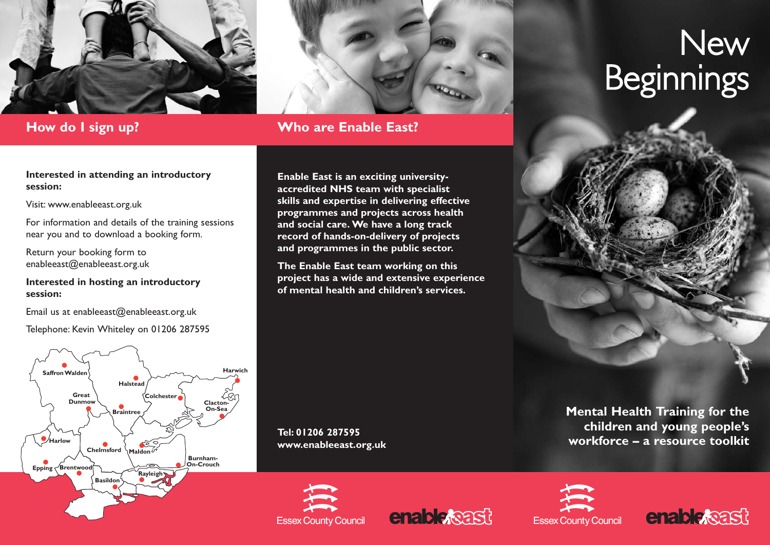



## **How do I sign up? Who are Enable East?**

#### **Interested in attending an introductory session:**

Visit: www.enableeast.org.uk

For information and details of the training sessions near you and to download a booking form.

Return your booking form to enableeast@enableeast.org.uk

### **Interested in hosting an introductory session:**

Email us at enableeast@enableeast.org.uk

Telephone: Kevin Whiteley on 01206 287595



**Enable East is an exciting universityaccredited NHS team with specialist skills and expertise in delivering effective programmes and projects across health and social care. We have a long track record of hands-on-delivery of projects and programmes in the public sector.** 

**The Enable East team working on this project has a wide and extensive experience of mental health and children's services.**

**Tel: 01206 287595 www.enableeast.org.uk**









# **New Beginnings**

**Mental Health Training for the children and young people's workforce – a resource toolkit**